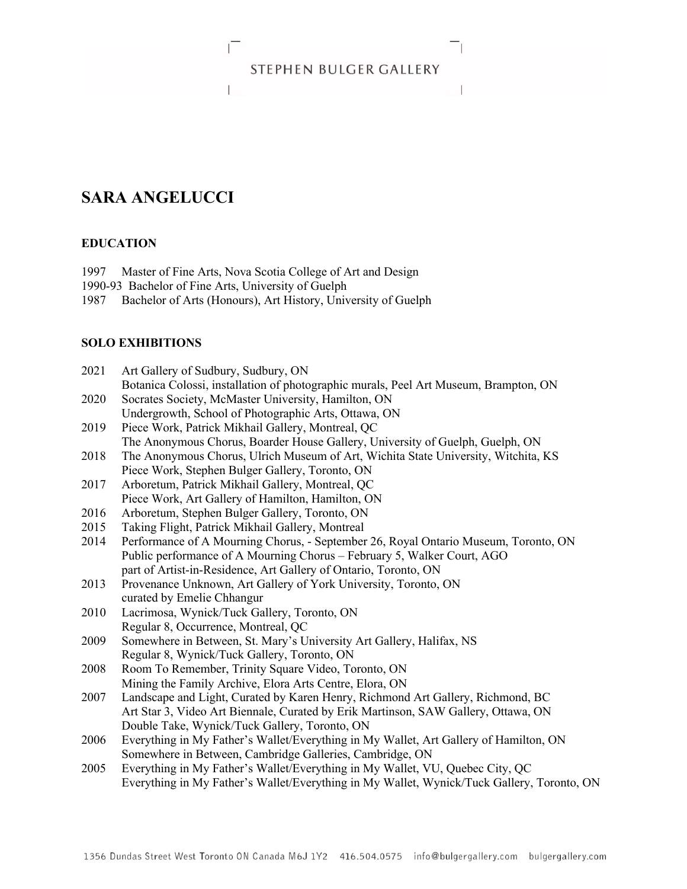# STEPHEN BULGER GALLERY

 $\sim$   $\sim$   $\sim$ 

# **SARA ANGELUCCI**

## **EDUCATION**

- 1997 Master of Fine Arts, Nova Scotia College of Art and Design
- 1990-93 Bachelor of Fine Arts, University of Guelph
- 1987 Bachelor of Arts (Honours), Art History, University of Guelph

**Lating Community** 

# **SOLO EXHIBITIONS**

| 2021 | Art Gallery of Sudbury, Sudbury, ON                                                        |
|------|--------------------------------------------------------------------------------------------|
|      | Botanica Colossi, installation of photographic murals, Peel Art Museum, Brampton, ON       |
| 2020 | Socrates Society, McMaster University, Hamilton, ON                                        |
|      | Undergrowth, School of Photographic Arts, Ottawa, ON                                       |
| 2019 | Piece Work, Patrick Mikhail Gallery, Montreal, QC                                          |
|      | The Anonymous Chorus, Boarder House Gallery, University of Guelph, Guelph, ON              |
| 2018 | The Anonymous Chorus, Ulrich Museum of Art, Wichita State University, Witchita, KS         |
|      | Piece Work, Stephen Bulger Gallery, Toronto, ON                                            |
| 2017 | Arboretum, Patrick Mikhail Gallery, Montreal, QC                                           |
|      | Piece Work, Art Gallery of Hamilton, Hamilton, ON                                          |
| 2016 | Arboretum, Stephen Bulger Gallery, Toronto, ON                                             |
| 2015 | Taking Flight, Patrick Mikhail Gallery, Montreal                                           |
| 2014 | Performance of A Mourning Chorus, - September 26, Royal Ontario Museum, Toronto, ON        |
|      | Public performance of A Mourning Chorus - February 5, Walker Court, AGO                    |
|      | part of Artist-in-Residence, Art Gallery of Ontario, Toronto, ON                           |
| 2013 | Provenance Unknown, Art Gallery of York University, Toronto, ON                            |
|      | curated by Emelie Chhangur                                                                 |
| 2010 | Lacrimosa, Wynick/Tuck Gallery, Toronto, ON                                                |
|      | Regular 8, Occurrence, Montreal, QC                                                        |
| 2009 | Somewhere in Between, St. Mary's University Art Gallery, Halifax, NS                       |
|      | Regular 8, Wynick/Tuck Gallery, Toronto, ON                                                |
| 2008 | Room To Remember, Trinity Square Video, Toronto, ON                                        |
|      | Mining the Family Archive, Elora Arts Centre, Elora, ON                                    |
| 2007 | Landscape and Light, Curated by Karen Henry, Richmond Art Gallery, Richmond, BC            |
|      | Art Star 3, Video Art Biennale, Curated by Erik Martinson, SAW Gallery, Ottawa, ON         |
|      | Double Take, Wynick/Tuck Gallery, Toronto, ON                                              |
| 2006 | Everything in My Father's Wallet/Everything in My Wallet, Art Gallery of Hamilton, ON      |
|      | Somewhere in Between, Cambridge Galleries, Cambridge, ON                                   |
| 2005 | Everything in My Father's Wallet/Everything in My Wallet, VU, Quebec City, QC              |
|      | Everything in My Father's Wallet/Everything in My Wallet, Wynick/Tuck Gallery, Toronto, ON |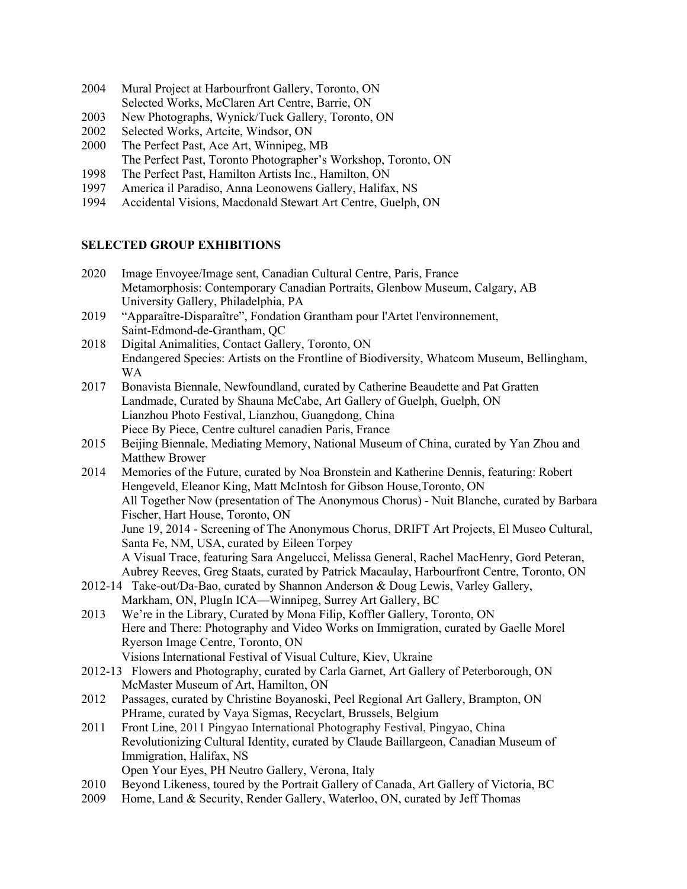- 2004 Mural Project at Harbourfront Gallery, Toronto, ON Selected Works, McClaren Art Centre, Barrie, ON
- 2003 New Photographs, Wynick/Tuck Gallery, Toronto, ON
- 2002 Selected Works, Artcite, Windsor, ON
- 2000 The Perfect Past, Ace Art, Winnipeg, MB
- The Perfect Past, Toronto Photographer's Workshop, Toronto, ON
- 1998 The Perfect Past, Hamilton Artists Inc., Hamilton, ON
- 1997 America il Paradiso, Anna Leonowens Gallery, Halifax, NS
- 1994 Accidental Visions, Macdonald Stewart Art Centre, Guelph, ON

## **SELECTED GROUP EXHIBITIONS**

- 2020 Image Envoyee/Image sent, Canadian Cultural Centre, Paris, France Metamorphosis: Contemporary Canadian Portraits, Glenbow Museum, Calgary, AB University Gallery, Philadelphia, PA
- 2019 "Apparaître-Disparaître", Fondation Grantham pour l'Artet l'environnement, Saint-Edmond-de-Grantham, QC
- 2018 Digital Animalities, Contact Gallery, Toronto, ON Endangered Species: Artists on the Frontline of Biodiversity, Whatcom Museum, Bellingham, WA
- 2017 Bonavista Biennale, Newfoundland, curated by Catherine Beaudette and Pat Gratten Landmade, Curated by Shauna McCabe, Art Gallery of Guelph, Guelph, ON Lianzhou Photo Festival, Lianzhou, Guangdong, China Piece By Piece, Centre culturel canadien Paris, France
- 2015 Beijing Biennale, Mediating Memory, National Museum of China, curated by Yan Zhou and Matthew Brower
- 2014 Memories of the Future, curated by Noa Bronstein and Katherine Dennis, featuring: Robert Hengeveld, Eleanor King, Matt McIntosh for Gibson House,Toronto, ON All Together Now (presentation of The Anonymous Chorus) - Nuit Blanche, curated by Barbara Fischer, Hart House, Toronto, ON June 19, 2014 - Screening of The Anonymous Chorus, DRIFT Art Projects, El Museo Cultural, Santa Fe, NM, USA, curated by Eileen Torpey A Visual Trace, featuring Sara Angelucci, Melissa General, Rachel MacHenry, Gord Peteran, Aubrey Reeves, Greg Staats, curated by Patrick Macaulay, Harbourfront Centre, Toronto, ON 2012-14 Take-out/Da-Bao, curated by Shannon Anderson & Doug Lewis, Varley Gallery,
- Markham, ON, PlugIn ICA—Winnipeg, Surrey Art Gallery, BC
- 2013 We're in the Library, Curated by Mona Filip, Koffler Gallery, Toronto, ON Here and There: Photography and Video Works on Immigration, curated by Gaelle Morel Ryerson Image Centre, Toronto, ON Visions International Festival of Visual Culture, Kiev, Ukraine
- 2012-13 Flowers and Photography, curated by Carla Garnet, Art Gallery of Peterborough, ON McMaster Museum of Art, Hamilton, ON
- 2012 Passages, curated by Christine Boyanoski, Peel Regional Art Gallery, Brampton, ON PHrame, curated by Vaya Sigmas, Recyclart, Brussels, Belgium
- 2011 Front Line, 2011 Pingyao International Photography Festival, Pingyao, China Revolutionizing Cultural Identity, curated by Claude Baillargeon, Canadian Museum of Immigration, Halifax, NS
	- Open Your Eyes, PH Neutro Gallery, Verona, Italy
- 2010 Beyond Likeness, toured by the Portrait Gallery of Canada, Art Gallery of Victoria, BC
- 2009 Home, Land & Security, Render Gallery, Waterloo, ON, curated by Jeff Thomas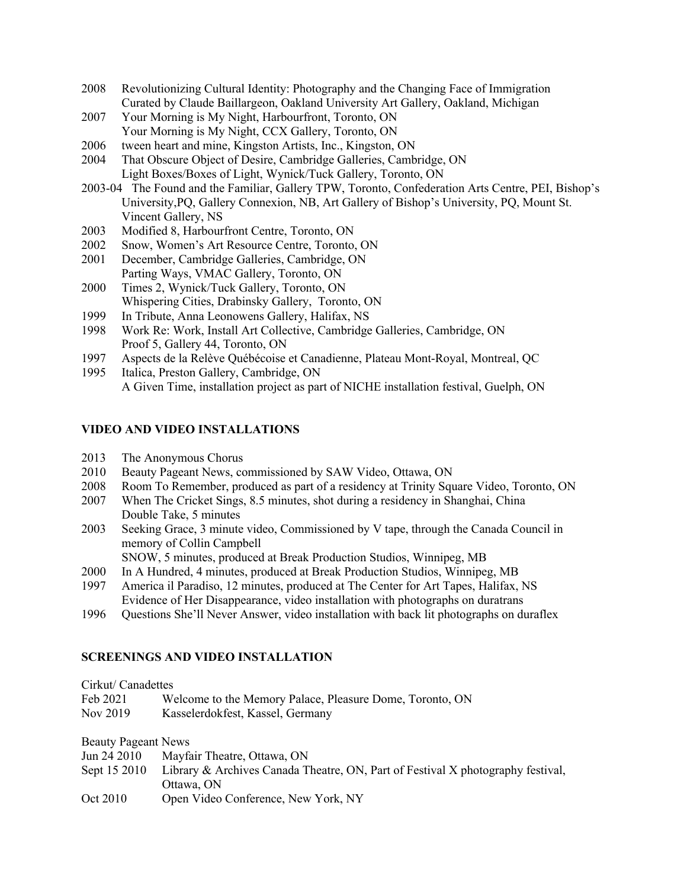- 2008 Revolutionizing Cultural Identity: Photography and the Changing Face of Immigration Curated by Claude Baillargeon, Oakland University Art Gallery, Oakland, Michigan
- 2007 Your Morning is My Night, Harbourfront, Toronto, ON Your Morning is My Night, CCX Gallery, Toronto, ON
- 2006 tween heart and mine, Kingston Artists, Inc., Kingston, ON
- 2004 That Obscure Object of Desire, Cambridge Galleries, Cambridge, ON Light Boxes/Boxes of Light, Wynick/Tuck Gallery, Toronto, ON
- 2003-04 The Found and the Familiar, Gallery TPW, Toronto, Confederation Arts Centre, PEI, Bishop's University,PQ, Gallery Connexion, NB, Art Gallery of Bishop's University, PQ, Mount St. Vincent Gallery, NS
- 2003 Modified 8, Harbourfront Centre, Toronto, ON
- 2002 Snow, Women's Art Resource Centre, Toronto, ON
- 2001 December, Cambridge Galleries, Cambridge, ON Parting Ways, VMAC Gallery, Toronto, ON
- 2000 Times 2, Wynick/Tuck Gallery, Toronto, ON Whispering Cities, Drabinsky Gallery, Toronto, ON
- 1999 In Tribute, Anna Leonowens Gallery, Halifax, NS
- 1998 Work Re: Work, Install Art Collective, Cambridge Galleries, Cambridge, ON Proof 5, Gallery 44, Toronto, ON
- 1997 Aspects de la Relève Québécoise et Canadienne, Plateau Mont-Royal, Montreal, QC
- 1995 Italica, Preston Gallery, Cambridge, ON A Given Time, installation project as part of NICHE installation festival, Guelph, ON

#### **VIDEO AND VIDEO INSTALLATIONS**

- 2013 The Anonymous Chorus
- 2010 Beauty Pageant News, commissioned by SAW Video, Ottawa, ON
- 2008 Room To Remember, produced as part of a residency at Trinity Square Video, Toronto, ON
- 2007 When The Cricket Sings, 8.5 minutes, shot during a residency in Shanghai, China Double Take, 5 minutes
- 2003 Seeking Grace, 3 minute video, Commissioned by V tape, through the Canada Council in memory of Collin Campbell

SNOW, 5 minutes, produced at Break Production Studios, Winnipeg, MB

- 2000 In A Hundred, 4 minutes, produced at Break Production Studios, Winnipeg, MB
- 1997 America il Paradiso, 12 minutes, produced at The Center for Art Tapes, Halifax, NS Evidence of Her Disappearance, video installation with photographs on duratrans
- 1996 Questions She'll Never Answer, video installation with back lit photographs on duraflex

#### **SCREENINGS AND VIDEO INSTALLATION**

Cirkut/ Canadettes

| Feb 2021 | Welcome to the Memory Palace, Pleasure Dome, Toronto, ON |
|----------|----------------------------------------------------------|
| Nov 2019 | Kasselerdokfest, Kassel, Germany                         |

Beauty Pageant News

| Mayfair Theatre, Ottawa, ON<br>Jun 24 2010 |
|--------------------------------------------|
|--------------------------------------------|

- Sept 15 2010 Library & Archives Canada Theatre, ON, Part of Festival X photography festival, Ottawa, ON
- Oct 2010 Open Video Conference, New York, NY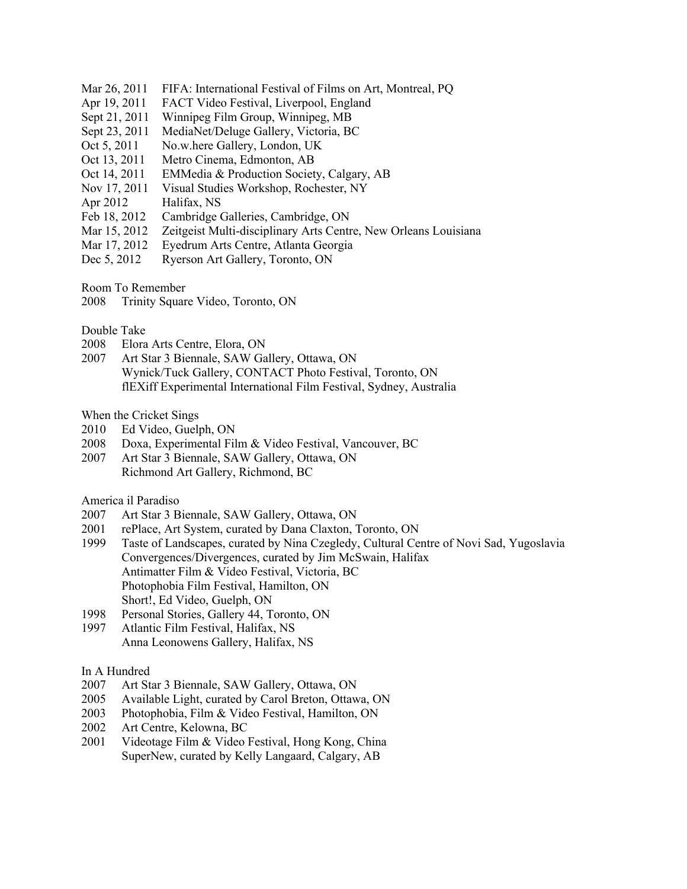- Mar 26, 2011 FIFA: International Festival of Films on Art, Montreal, PO
- Apr 19, 2011 FACT Video Festival, Liverpool, England
- Sept 21, 2011 Winnipeg Film Group, Winnipeg, MB
- Sept 23, 2011 MediaNet/Deluge Gallery, Victoria, BC
- Oct 5, 2011 No.w.here Gallery, London, UK
- Oct 13, 2011 Metro Cinema, Edmonton, AB
- Oct 14, 2011 EMMedia & Production Society, Calgary, AB
- Nov 17, 2011 Visual Studies Workshop, Rochester, NY
- Apr 2012 Halifax, NS
- Feb 18, 2012 Cambridge Galleries, Cambridge, ON
- Mar 15, 2012 Zeitgeist Multi-disciplinary Arts Centre, New Orleans Louisiana
- Mar 17, 2012 Eyedrum Arts Centre, Atlanta Georgia
- Dec 5, 2012 Ryerson Art Gallery, Toronto, ON

Room To Remember

2008 Trinity Square Video, Toronto, ON

#### Double Take

- 2008 Elora Arts Centre, Elora, ON
- 2007 Art Star 3 Biennale, SAW Gallery, Ottawa, ON Wynick/Tuck Gallery, CONTACT Photo Festival, Toronto, ON flEXiff Experimental International Film Festival, Sydney, Australia

When the Cricket Sings

- 2010 Ed Video, Guelph, ON
- 2008 Doxa, Experimental Film & Video Festival, Vancouver, BC
- 2007 Art Star 3 Biennale, SAW Gallery, Ottawa, ON Richmond Art Gallery, Richmond, BC

America il Paradiso

- 2007 Art Star 3 Biennale, SAW Gallery, Ottawa, ON
- 2001 rePlace, Art System, curated by Dana Claxton, Toronto, ON
- 1999 Taste of Landscapes, curated by Nina Czegledy, Cultural Centre of Novi Sad, Yugoslavia Convergences/Divergences, curated by Jim McSwain, Halifax Antimatter Film & Video Festival, Victoria, BC Photophobia Film Festival, Hamilton, ON Short!, Ed Video, Guelph, ON
- 1998 Personal Stories, Gallery 44, Toronto, ON
- 1997 Atlantic Film Festival, Halifax, NS Anna Leonowens Gallery, Halifax, NS

#### In A Hundred

- 2007 Art Star 3 Biennale, SAW Gallery, Ottawa, ON
- 2005 Available Light, curated by Carol Breton, Ottawa, ON
- 2003 Photophobia, Film & Video Festival, Hamilton, ON
- 2002 Art Centre, Kelowna, BC
- 2001 Videotage Film & Video Festival, Hong Kong, China SuperNew, curated by Kelly Langaard, Calgary, AB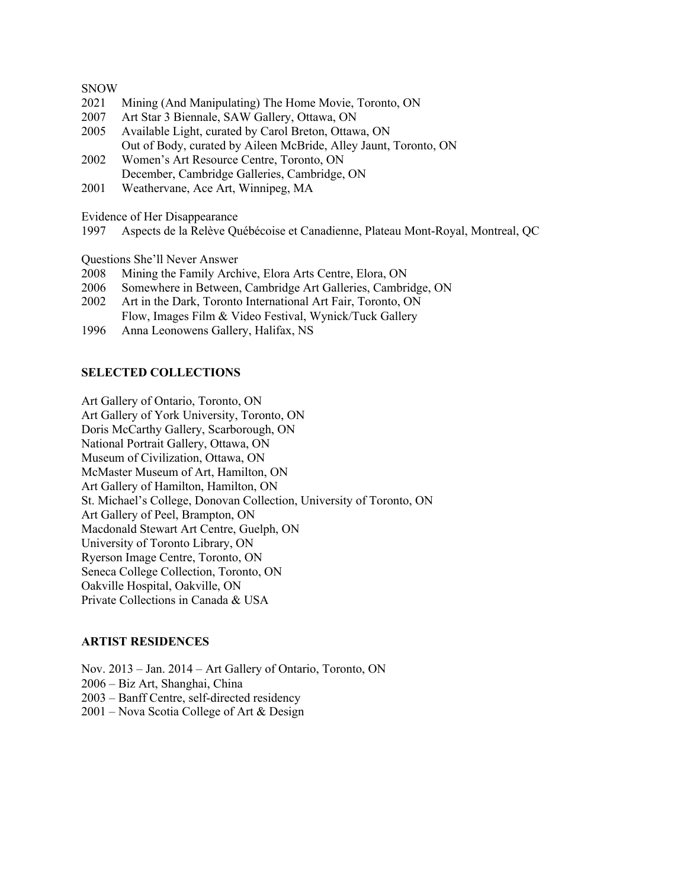#### SNOW

- 2021 Mining (And Manipulating) The Home Movie, Toronto, ON
- 2007 Art Star 3 Biennale, SAW Gallery, Ottawa, ON
- 2005 Available Light, curated by Carol Breton, Ottawa, ON Out of Body, curated by Aileen McBride, Alley Jaunt, Toronto, ON
- 2002 Women's Art Resource Centre, Toronto, ON December, Cambridge Galleries, Cambridge, ON
- 2001 Weathervane, Ace Art, Winnipeg, MA

Evidence of Her Disappearance

1997 Aspects de la Relève Québécoise et Canadienne, Plateau Mont-Royal, Montreal, QC

Questions She'll Never Answer

- 2008 Mining the Family Archive, Elora Arts Centre, Elora, ON
- 2006 Somewhere in Between, Cambridge Art Galleries, Cambridge, ON
- 2002 Art in the Dark, Toronto International Art Fair, Toronto, ON Flow, Images Film & Video Festival, Wynick/Tuck Gallery
- 1996 Anna Leonowens Gallery, Halifax, NS

#### **SELECTED COLLECTIONS**

Art Gallery of Ontario, Toronto, ON Art Gallery of York University, Toronto, ON Doris McCarthy Gallery, Scarborough, ON National Portrait Gallery, Ottawa, ON Museum of Civilization, Ottawa, ON McMaster Museum of Art, Hamilton, ON Art Gallery of Hamilton, Hamilton, ON St. Michael's College, Donovan Collection, University of Toronto, ON Art Gallery of Peel, Brampton, ON Macdonald Stewart Art Centre, Guelph, ON University of Toronto Library, ON Ryerson Image Centre, Toronto, ON Seneca College Collection, Toronto, ON Oakville Hospital, Oakville, ON Private Collections in Canada & USA

#### **ARTIST RESIDENCES**

Nov. 2013 – Jan. 2014 – Art Gallery of Ontario, Toronto, ON 2006 – Biz Art, Shanghai, China 2003 – Banff Centre, self-directed residency 2001 – Nova Scotia College of Art & Design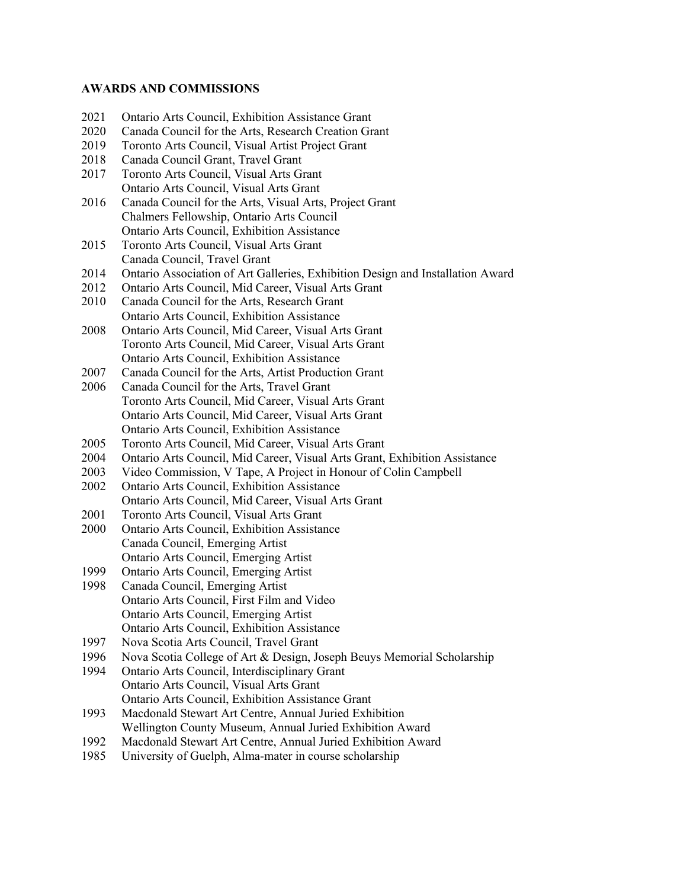#### **AWARDS AND COMMISSIONS**

- 2021 Ontario Arts Council, Exhibition Assistance Grant
- 2020 Canada Council for the Arts, Research Creation Grant
- 2019 Toronto Arts Council, Visual Artist Project Grant
- 2018 Canada Council Grant, Travel Grant
- 2017 Toronto Arts Council, Visual Arts Grant Ontario Arts Council, Visual Arts Grant
- 2016 Canada Council for the Arts, Visual Arts, Project Grant Chalmers Fellowship, Ontario Arts Council Ontario Arts Council, Exhibition Assistance
- 2015 Toronto Arts Council, Visual Arts Grant Canada Council, Travel Grant
- 2014 Ontario Association of Art Galleries, Exhibition Design and Installation Award
- 2012 Ontario Arts Council, Mid Career, Visual Arts Grant
- 2010 Canada Council for the Arts, Research Grant Ontario Arts Council, Exhibition Assistance
- 2008 Ontario Arts Council, Mid Career, Visual Arts Grant Toronto Arts Council, Mid Career, Visual Arts Grant Ontario Arts Council, Exhibition Assistance
- 2007 Canada Council for the Arts, Artist Production Grant
- 2006 Canada Council for the Arts, Travel Grant Toronto Arts Council, Mid Career, Visual Arts Grant Ontario Arts Council, Mid Career, Visual Arts Grant Ontario Arts Council, Exhibition Assistance
- 2005 Toronto Arts Council, Mid Career, Visual Arts Grant
- 2004 Ontario Arts Council, Mid Career, Visual Arts Grant, Exhibition Assistance
- 2003 Video Commission, V Tape, A Project in Honour of Colin Campbell
- 2002 Ontario Arts Council, Exhibition Assistance Ontario Arts Council, Mid Career, Visual Arts Grant
- 2001 Toronto Arts Council, Visual Arts Grant
- 2000 Ontario Arts Council, Exhibition Assistance Canada Council, Emerging Artist Ontario Arts Council, Emerging Artist
- 1999 Ontario Arts Council, Emerging Artist
- 1998 Canada Council, Emerging Artist Ontario Arts Council, First Film and Video Ontario Arts Council, Emerging Artist Ontario Arts Council, Exhibition Assistance
- 1997 Nova Scotia Arts Council, Travel Grant
- 1996 Nova Scotia College of Art & Design, Joseph Beuys Memorial Scholarship
- 1994 Ontario Arts Council, Interdisciplinary Grant Ontario Arts Council, Visual Arts Grant Ontario Arts Council, Exhibition Assistance Grant
- 1993 Macdonald Stewart Art Centre, Annual Juried Exhibition Wellington County Museum, Annual Juried Exhibition Award
- 1992 Macdonald Stewart Art Centre, Annual Juried Exhibition Award
- 1985 University of Guelph, Alma-mater in course scholarship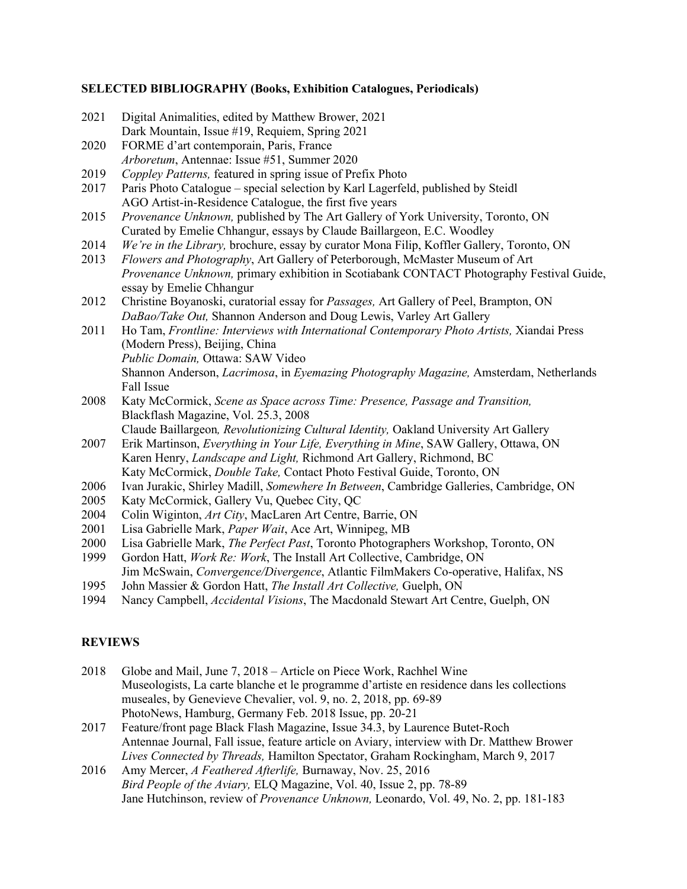## **SELECTED BIBLIOGRAPHY (Books, Exhibition Catalogues, Periodicals)**

| 2021 | Digital Animalities, edited by Matthew Brower, 2021                                        |
|------|--------------------------------------------------------------------------------------------|
|      | Dark Mountain, Issue #19, Requiem, Spring 2021                                             |
| 2020 | FORME d'art contemporain, Paris, France                                                    |
|      | Arboretum, Antennae: Issue #51, Summer 2020                                                |
| 2019 | Coppley Patterns, featured in spring issue of Prefix Photo                                 |
| 2017 | Paris Photo Catalogue - special selection by Karl Lagerfeld, published by Steidl           |
|      | AGO Artist-in-Residence Catalogue, the first five years                                    |
| 2015 | Provenance Unknown, published by The Art Gallery of York University, Toronto, ON           |
|      | Curated by Emelie Chhangur, essays by Claude Baillargeon, E.C. Woodley                     |
| 2014 | We're in the Library, brochure, essay by curator Mona Filip, Koffler Gallery, Toronto, ON  |
| 2013 | Flowers and Photography, Art Gallery of Peterborough, McMaster Museum of Art               |
|      | Provenance Unknown, primary exhibition in Scotiabank CONTACT Photography Festival Guide,   |
|      | essay by Emelie Chhangur                                                                   |
| 2012 | Christine Boyanoski, curatorial essay for Passages, Art Gallery of Peel, Brampton, ON      |
|      | DaBao/Take Out, Shannon Anderson and Doug Lewis, Varley Art Gallery                        |
| 2011 | Ho Tam, Frontline: Interviews with International Contemporary Photo Artists, Xiandai Press |
|      | (Modern Press), Beijing, China                                                             |
|      | Public Domain, Ottawa: SAW Video                                                           |
|      | Shannon Anderson, Lacrimosa, in Eyemazing Photography Magazine, Amsterdam, Netherlands     |
|      | Fall Issue                                                                                 |
| 2008 | Katy McCormick, Scene as Space across Time: Presence, Passage and Transition,              |
|      | Blackflash Magazine, Vol. 25.3, 2008                                                       |
|      | Claude Baillargeon, Revolutionizing Cultural Identity, Oakland University Art Gallery      |
| 2007 | Erik Martinson, Everything in Your Life, Everything in Mine, SAW Gallery, Ottawa, ON       |
|      | Karen Henry, Landscape and Light, Richmond Art Gallery, Richmond, BC                       |
|      | Katy McCormick, Double Take, Contact Photo Festival Guide, Toronto, ON                     |
| 2006 | Ivan Jurakic, Shirley Madill, Somewhere In Between, Cambridge Galleries, Cambridge, ON     |
| 2005 | Katy McCormick, Gallery Vu, Quebec City, QC                                                |
| 2004 | Colin Wiginton, Art City, MacLaren Art Centre, Barrie, ON                                  |
| 2001 | Lisa Gabrielle Mark, Paper Wait, Ace Art, Winnipeg, MB                                     |
| 2000 | Lisa Gabrielle Mark, The Perfect Past, Toronto Photographers Workshop, Toronto, ON         |
| 1999 | Gordon Hatt, Work Re: Work, The Install Art Collective, Cambridge, ON                      |
|      | Jim McSwain, Convergence/Divergence, Atlantic FilmMakers Co-operative, Halifax, NS         |
| 1995 | John Massier & Gordon Hatt, The Install Art Collective, Guelph, ON                         |
| 1001 | $\mathbf{N}$ $\mathbf{L}$                                                                  |

1994 Nancy Campbell, *Accidental Visions*, The Macdonald Stewart Art Centre, Guelph, ON

# **REVIEWS**

- 2018 Globe and Mail, June 7, 2018 Article on Piece Work, Rachhel Wine Museologists, La carte blanche et le programme d'artiste en residence dans les collections museales, by Genevieve Chevalier, vol. 9, no. 2, 2018, pp. 69-89 PhotoNews, Hamburg, Germany Feb. 2018 Issue, pp. 20-21
- 2017 Feature/front page Black Flash Magazine, Issue 34.3, by Laurence Butet-Roch Antennae Journal, Fall issue, feature article on Aviary, interview with Dr. Matthew Brower *Lives Connected by Threads,* Hamilton Spectator, Graham Rockingham, March 9, 2017
- 2016 Amy Mercer, *A Feathered Afterlife,* Burnaway, Nov. 25, 2016 *Bird People of the Aviary,* ELQ Magazine, Vol. 40, Issue 2, pp. 78-89 Jane Hutchinson, review of *Provenance Unknown,* Leonardo, Vol. 49, No. 2, pp. 181-183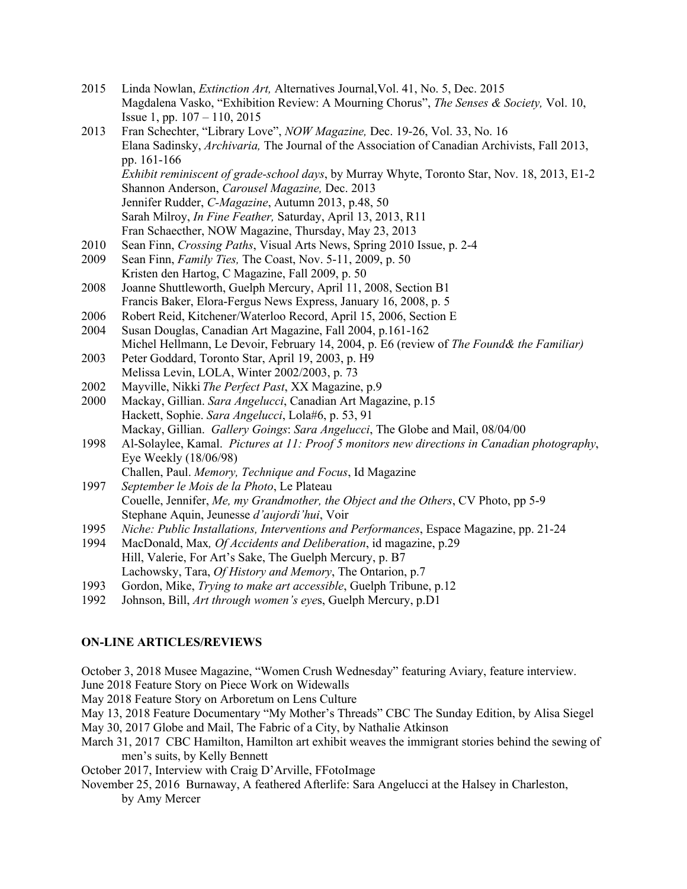- 2015 Linda Nowlan, *Extinction Art,* Alternatives Journal,Vol. 41, No. 5, Dec. 2015 Magdalena Vasko, "Exhibition Review: A Mourning Chorus", *The Senses & Society,* Vol. 10, Issue 1, pp. 107 – 110, 2015
- 2013 Fran Schechter, "Library Love", *NOW Magazine,* Dec. 19-26, Vol. 33, No. 16 Elana Sadinsky, *Archivaria,* The Journal of the Association of Canadian Archivists, Fall 2013, pp. 161-166 *Exhibit reminiscent of grade-school days*, by Murray Whyte, Toronto Star, Nov. 18, 2013, E1-2 Shannon Anderson, *Carousel Magazine,* Dec. 2013 Jennifer Rudder, *C-Magazine*, Autumn 2013, p.48, 50 Sarah Milroy, *In Fine Feather,* Saturday, April 13, 2013, R11 Fran Schaecther, NOW Magazine, Thursday, May 23, 2013
- 2010 Sean Finn, *Crossing Paths*, Visual Arts News, Spring 2010 Issue, p. 2-4
- 2009 Sean Finn, *Family Ties,* The Coast, Nov. 5-11, 2009, p. 50 Kristen den Hartog, C Magazine, Fall 2009, p. 50
- 2008 Joanne Shuttleworth, Guelph Mercury, April 11, 2008, Section B1 Francis Baker, Elora-Fergus News Express, January 16, 2008, p. 5
- 2006 Robert Reid, Kitchener/Waterloo Record, April 15, 2006, Section E
- 2004 Susan Douglas, Canadian Art Magazine, Fall 2004, p.161-162 Michel Hellmann, Le Devoir, February 14, 2004, p. E6 (review of *The Found& the Familiar)*
- 2003 Peter Goddard, Toronto Star, April 19, 2003, p. H9 Melissa Levin, LOLA, Winter 2002/2003, p. 73
- 2002 Mayville, Nikki *The Perfect Past*, XX Magazine, p.9
- 2000 Mackay, Gillian. *Sara Angelucci*, Canadian Art Magazine, p.15 Hackett, Sophie. *Sara Angelucci*, Lola#6, p. 53, 91 Mackay, Gillian. *Gallery Goings*: *Sara Angelucci*, The Globe and Mail, 08/04/00
- 1998 Al-Solaylee, Kamal. *Pictures at 11: Proof 5 monitors new directions in Canadian photography*, Eye Weekly (18/06/98) Challen, Paul. *Memory, Technique and Focus*, Id Magazine
- 1997 *September le Mois de la Photo*, Le Plateau Couelle, Jennifer, *Me, my Grandmother, the Object and the Others*, CV Photo, pp 5-9 Stephane Aquin, Jeunesse *d'aujordi'hui*, Voir
- 1995 *Niche: Public Installations, Interventions and Performances*, Espace Magazine, pp. 21-24
- 1994 MacDonald, Max*, Of Accidents and Deliberation*, id magazine, p.29 Hill, Valerie, For Art's Sake, The Guelph Mercury, p. B7 Lachowsky, Tara, *Of History and Memory*, The Ontarion, p.7
- 1993 Gordon, Mike, *Trying to make art accessible*, Guelph Tribune, p.12
- 1992 Johnson, Bill, *Art through women's eye*s, Guelph Mercury, p.D1

# **ON-LINE ARTICLES/REVIEWS**

October 3, 2018 Musee Magazine, "Women Crush Wednesday" featuring Aviary, feature interview.

June 2018 Feature Story on Piece Work on Widewalls

May 2018 Feature Story on Arboretum on Lens Culture

May 13, 2018 Feature Documentary "My Mother's Threads" CBC The Sunday Edition, by Alisa Siegel

May 30, 2017 Globe and Mail, The Fabric of a City, by Nathalie Atkinson

- March 31, 2017 CBC Hamilton, Hamilton art exhibit weaves the immigrant stories behind the sewing of men's suits, by Kelly Bennett
- October 2017, Interview with Craig D'Arville, FFotoImage
- November 25, 2016 Burnaway, A feathered Afterlife: Sara Angelucci at the Halsey in Charleston, by Amy Mercer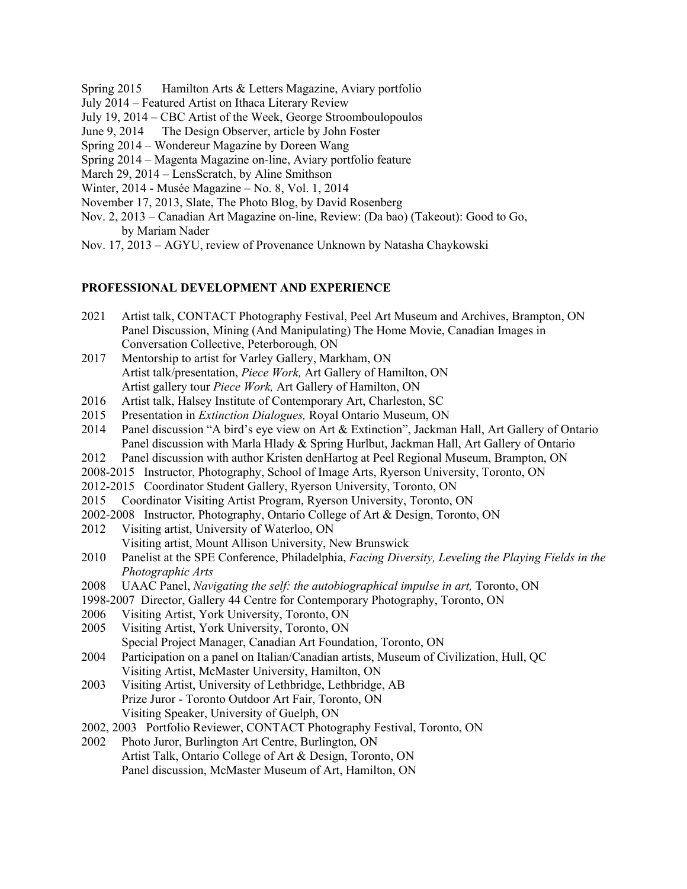- Spring 2015 Hamilton Arts & Letters Magazine, Aviary portfolio
- July 2014 Featured Artist on Ithaca Literary Review
- July 19, 2014 CBC Artist of the Week, George Stroomboulopoulos
- June 9, 2014 The Design Observer, article by John Foster
- Spring 2014 Wondereur Magazine by Doreen Wang
- Spring 2014 Magenta Magazine on-line, Aviary portfolio feature
- March 29, 2014 LensScratch, by Aline Smithson
- Winter, 2014 Musée Magazine No. 8, Vol. 1, 2014
- November 17, 2013, Slate, The Photo Blog, by David Rosenberg
- Nov. 2, 2013 Canadian Art Magazine on-line, Review: (Da bao) (Takeout): Good to Go, by Mariam Nader
- Nov. 17, 2013 AGYU, review of Provenance Unknown by Natasha Chaykowski

#### **PROFESSIONAL DEVELOPMENT AND EXPERIENCE**

- 2021 Artist talk, CONTACT Photography Festival, Peel Art Museum and Archives, Brampton, ON Panel Discussion, Mining (And Manipulating) The Home Movie, Canadian Images in Conversation Collective, Peterborough, ON
- 2017 Mentorship to artist for Varley Gallery, Markham, ON Artist talk/presentation, *Piece Work,* Art Gallery of Hamilton, ON Artist gallery tour *Piece Work,* Art Gallery of Hamilton, ON
- 2016 Artist talk, Halsey Institute of Contemporary Art, Charleston, SC
- 2015 Presentation in *Extinction Dialogues,* Royal Ontario Museum, ON
- 2014 Panel discussion "A bird's eye view on Art & Extinction", Jackman Hall, Art Gallery of Ontario Panel discussion with Marla Hlady & Spring Hurlbut, Jackman Hall, Art Gallery of Ontario
- 2012 Panel discussion with author Kristen denHartog at Peel Regional Museum, Brampton, ON
- 2008-2015 Instructor, Photography, School of Image Arts, Ryerson University, Toronto, ON
- 2012-2015 Coordinator Student Gallery, Ryerson University, Toronto, ON
- 2015 Coordinator Visiting Artist Program, Ryerson University, Toronto, ON
- 2002-2008 Instructor, Photography, Ontario College of Art & Design, Toronto, ON
- 2012 Visiting artist, University of Waterloo, ON Visiting artist, Mount Allison University, New Brunswick
- 2010 Panelist at the SPE Conference, Philadelphia, *Facing Diversity, Leveling the Playing Fields in the Photographic Arts*
- 2008 UAAC Panel, *Navigating the self: the autobiographical impulse in art,* Toronto, ON
- 1998-2007 Director, Gallery 44 Centre for Contemporary Photography, Toronto, ON
- 2006 Visiting Artist, York University, Toronto, ON
- 2005 Visiting Artist, York University, Toronto, ON
	- Special Project Manager, Canadian Art Foundation, Toronto, ON
- 2004 Participation on a panel on Italian/Canadian artists, Museum of Civilization, Hull, QC Visiting Artist, McMaster University, Hamilton, ON
- 2003 Visiting Artist, University of Lethbridge, Lethbridge, AB Prize Juror - Toronto Outdoor Art Fair, Toronto, ON Visiting Speaker, University of Guelph, ON
- 2002, 2003 Portfolio Reviewer, CONTACT Photography Festival, Toronto, ON
- 2002 Photo Juror, Burlington Art Centre, Burlington, ON Artist Talk, Ontario College of Art & Design, Toronto, ON Panel discussion, McMaster Museum of Art, Hamilton, ON